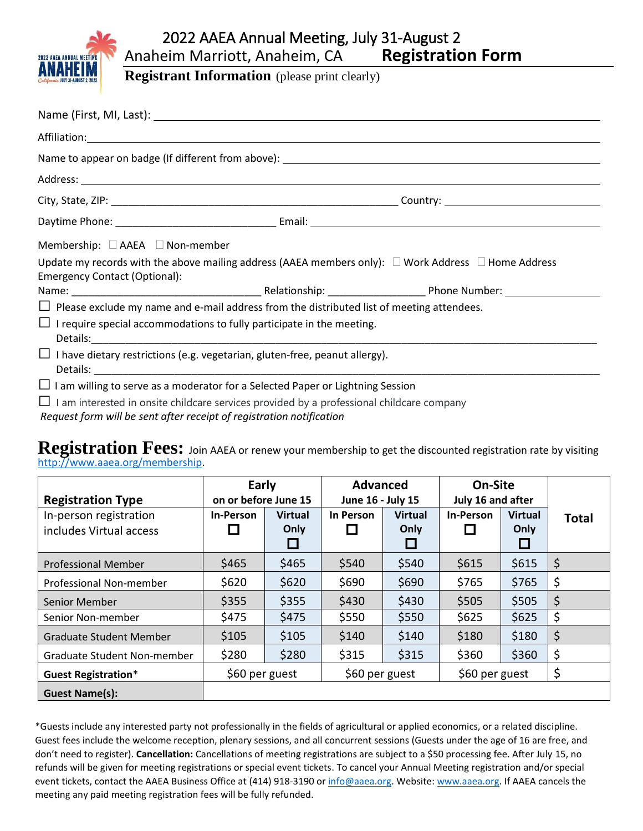

## 2022 AAEA Annual Meeting, July 31-August 2 Anaheim Marriott, Anaheim, CA **Registration Form**

**Registrant Information** (please print clearly)

| Membership: $\Box$ AAEA $\Box$ Non-member |                                                                                                               |  |  |  |  |
|-------------------------------------------|---------------------------------------------------------------------------------------------------------------|--|--|--|--|
| <b>Emergency Contact (Optional):</b>      | Update my records with the above mailing address (AAEA members only): $\Box$ Work Address $\Box$ Home Address |  |  |  |  |
|                                           |                                                                                                               |  |  |  |  |
|                                           | $\Box$ Please exclude my name and e-mail address from the distributed list of meeting attendees.              |  |  |  |  |
|                                           | $\Box$ I require special accommodations to fully participate in the meeting.                                  |  |  |  |  |
|                                           | $\Box$ I have dietary restrictions (e.g. vegetarian, gluten-free, peanut allergy).                            |  |  |  |  |
|                                           | $\Box$ I am willing to serve as a moderator for a Selected Paper or Lightning Session                         |  |  |  |  |
|                                           | $\Box$ I am interested in onsite childcare services provided by a professional childcare company              |  |  |  |  |

*Request form will be sent after receipt of registration notification*

**Registration Fees:** Join AAEA or renew your membership to get the discounted registration rate by visiting [http://www.aaea.org/membership.](http://www.aaea.org/membership)

| <b>Registration Type</b>                          | Early<br>on or before June 15 |                        | <b>Advanced</b><br>June 16 - July 15 |                                                       | On-Site<br>July 16 and after |                        |              |
|---------------------------------------------------|-------------------------------|------------------------|--------------------------------------|-------------------------------------------------------|------------------------------|------------------------|--------------|
| In-person registration<br>includes Virtual access | <b>In-Person</b>              | <b>Virtual</b><br>Only | In Person                            | <b>Virtual</b><br>Only<br>$\mathcal{L}_{\mathcal{A}}$ | <b>In-Person</b>             | <b>Virtual</b><br>Only | <b>Total</b> |
| <b>Professional Member</b>                        | \$465                         | \$465                  | \$540                                | \$540                                                 | \$615                        | \$615                  | \$           |
| Professional Non-member                           | \$620                         | \$620                  | \$690                                | \$690                                                 | \$765                        | \$765                  | \$           |
| Senior Member                                     | \$355                         | \$355                  | \$430                                | \$430                                                 | \$505                        | \$505                  | \$           |
| Senior Non-member                                 | \$475                         | \$475                  | \$550                                | \$550                                                 | \$625                        | \$625                  | \$           |
| Graduate Student Member                           | \$105                         | \$105                  | \$140                                | \$140                                                 | \$180                        | \$180                  | \$           |
| Graduate Student Non-member                       | \$280                         | \$280                  | \$315                                | \$315                                                 | \$360                        | \$360                  | \$           |
| <b>Guest Registration*</b>                        | \$60 per guest                |                        | \$60 per guest                       |                                                       | \$60 per guest               |                        | \$           |
| <b>Guest Name(s):</b>                             |                               |                        |                                      |                                                       |                              |                        |              |

\*Guests include any interested party not professionally in the fields of agricultural or applied economics, or a related discipline. Guest fees include the welcome reception, plenary sessions, and all concurrent sessions (Guests under the age of 16 are free, and don't need to register). **Cancellation:** Cancellations of meeting registrations are subject to a \$50 processing fee. After July 15, no refunds will be given for meeting registrations or special event tickets. To cancel your Annual Meeting registration and/or special event tickets, contact the AAEA Business Office at (414) 918-3190 o[r info@aaea.org.](mailto:info@aaea.org) Website: [www.aaea.org.](http://www.aaea.org/) If AAEA cancels the meeting any paid meeting registration fees will be fully refunded.